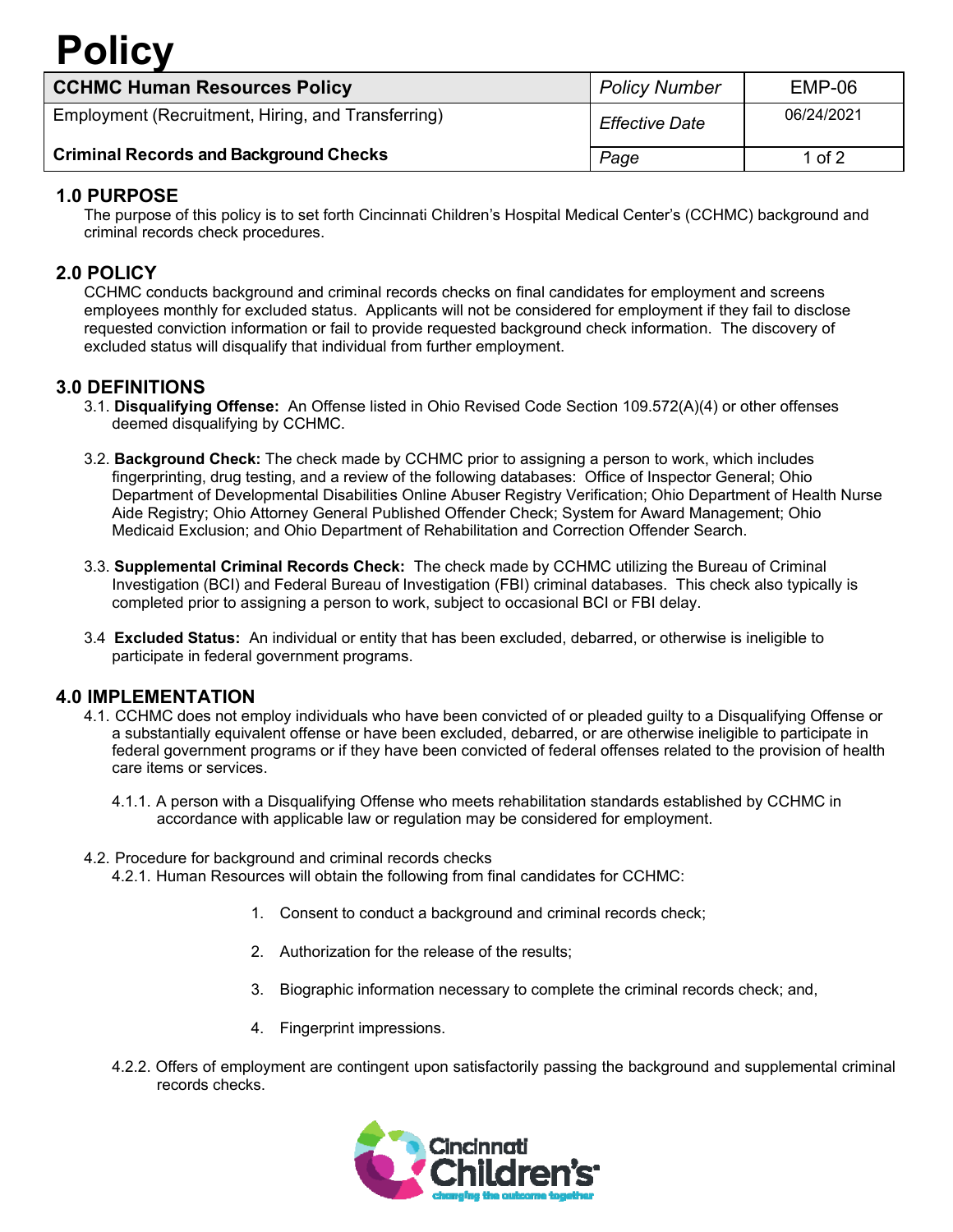## **Policy**

| <b>CCHMC Human Resources Policy</b>                | <b>Policy Number</b>  | $EMP-06$   |
|----------------------------------------------------|-----------------------|------------|
| Employment (Recruitment, Hiring, and Transferring) | <b>Effective Date</b> | 06/24/2021 |
| <b>Criminal Records and Background Checks</b>      | Page                  | 1 of $2$   |

## **1.0 PURPOSE**

The purpose of this policy is to set forth Cincinnati Children's Hospital Medical Center's (CCHMC) background and criminal records check procedures.

## **2.0 POLICY**

CCHMC conducts background and criminal records checks on final candidates for employment and screens employees monthly for excluded status. Applicants will not be considered for employment if they fail to disclose requested conviction information or fail to provide requested background check information. The discovery of excluded status will disqualify that individual from further employment.

#### **3.0 DEFINITIONS**

- 3.1. **Disqualifying Offense:** An Offense listed in Ohio Revised Code Section 109.572(A)(4) or other offenses deemed disqualifying by CCHMC.
- 3.2. **Background Check:** The check made by CCHMC prior to assigning a person to work, which includes fingerprinting, drug testing, and a review of the following databases: Office of Inspector General; Ohio Department of Developmental Disabilities Online Abuser Registry Verification; Ohio Department of Health Nurse Aide Registry; Ohio Attorney General Published Offender Check; System for Award Management; Ohio Medicaid Exclusion; and Ohio Department of Rehabilitation and Correction Offender Search.
- 3.3. **Supplemental Criminal Records Check:** The check made by CCHMC utilizing the Bureau of Criminal Investigation (BCI) and Federal Bureau of Investigation (FBI) criminal databases. This check also typically is completed prior to assigning a person to work, subject to occasional BCI or FBI delay.
- 3.4 **Excluded Status:** An individual or entity that has been excluded, debarred, or otherwise is ineligible to participate in federal government programs.

#### **4.0 IMPLEMENTATION**

- 4.1. CCHMC does not employ individuals who have been convicted of or pleaded guilty to a Disqualifying Offense or a substantially equivalent offense or have been excluded, debarred, or are otherwise ineligible to participate in federal government programs or if they have been convicted of federal offenses related to the provision of health care items or services.
	- 4.1.1. A person with a Disqualifying Offense who meets rehabilitation standards established by CCHMC in accordance with applicable law or regulation may be considered for employment.

#### 4.2. Procedure for background and criminal records checks

- 4.2.1. Human Resources will obtain the following from final candidates for CCHMC:
	- 1. Consent to conduct a background and criminal records check;
	- 2. Authorization for the release of the results;
	- 3. Biographic information necessary to complete the criminal records check; and,
	- 4. Fingerprint impressions.
- 4.2.2. Offers of employment are contingent upon satisfactorily passing the background and supplemental criminal records checks.